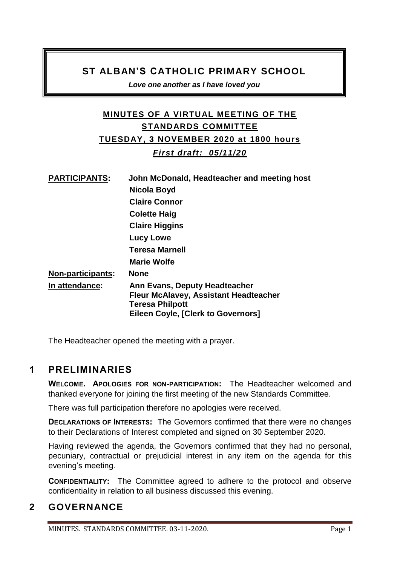### **ST ALBAN'S CATHOLIC PRIMARY SCHOOL**

*Love one another as I have loved you* 

## **MINUTES OF A VIRTUAL MEETING OF THE STANDARDS COMMITTEE TUESDAY, 3 NOVEMBER 2020 at 1800 hours** *First draft: 05/11/20*

| <b>PARTICIPANTS:</b>     | John McDonald, Headteacher and meeting host                                                                                                   |
|--------------------------|-----------------------------------------------------------------------------------------------------------------------------------------------|
|                          | Nicola Boyd                                                                                                                                   |
|                          | <b>Claire Connor</b>                                                                                                                          |
|                          | <b>Colette Haig</b>                                                                                                                           |
|                          | <b>Claire Higgins</b>                                                                                                                         |
|                          | Lucy Lowe                                                                                                                                     |
|                          | <b>Teresa Marnell</b>                                                                                                                         |
|                          | <b>Marie Wolfe</b>                                                                                                                            |
| <b>Non-participants:</b> | <b>None</b>                                                                                                                                   |
| In attendance:           | Ann Evans, Deputy Headteacher<br><b>Fleur McAlavey, Assistant Headteacher</b><br><b>Teresa Philpott</b><br>Eileen Coyle, [Clerk to Governors] |

The Headteacher opened the meeting with a prayer.

### **1 PRELIMINARIES**

**WELCOME. APOLOGIES FOR NON-PARTICIPATION:** The Headteacher welcomed and thanked everyone for joining the first meeting of the new Standards Committee.

There was full participation therefore no apologies were received.

**DECLARATIONS OF INTERESTS:** The Governors confirmed that there were no changes to their Declarations of Interest completed and signed on 30 September 2020.

Having reviewed the agenda, the Governors confirmed that they had no personal, pecuniary, contractual or prejudicial interest in any item on the agenda for this evening's meeting.

**CONFIDENTIALITY:** The Committee agreed to adhere to the protocol and observe confidentiality in relation to all business discussed this evening.

# **2 GOVERNANCE**

MINUTES. STANDARDS COMMITTEE. 03-11-2020.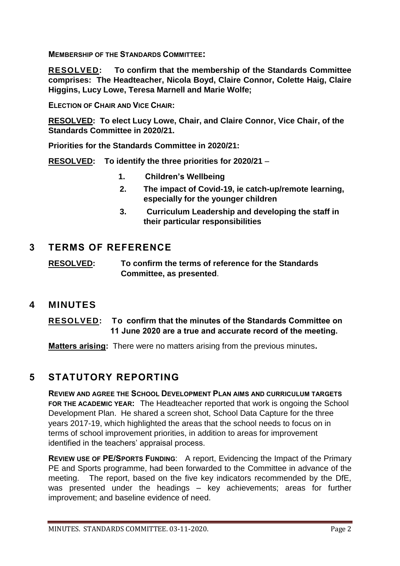**MEMBERSHIP OF THE STANDARDS COMMITTEE:** 

**RESOLVED: To confirm that the membership of the Standards Committee comprises: The Headteacher, Nicola Boyd, Claire Connor, Colette Haig, Claire Higgins, Lucy Lowe, Teresa Marnell and Marie Wolfe;**

**ELECTION OF CHAIR AND VICE CHAIR:** 

**RESOLVED: To elect Lucy Lowe, Chair, and Claire Connor, Vice Chair, of the Standards Committee in 2020/21.**

**Priorities for the Standards Committee in 2020/21:**

**RESOLVED: To identify the three priorities for 2020/21** –

- **1. Children's Wellbeing**
- **2. The impact of Covid-19, ie catch-up/remote learning, especially for the younger children**
- **3. Curriculum Leadership and developing the staff in their particular responsibilities**

#### **3 TERMS OF REFERENCE**

**RESOLVED: To confirm the terms of reference for the Standards Committee, as presented**.

**4 MINUTES**

#### **RESOLVED: To confirm that the minutes of the Standards Committee on 11 June 2020 are a true and accurate record of the meeting.**

**Matters arising:** There were no matters arising from the previous minutes**.**

### **5 STATUTORY REPORTING**

**REVIEW AND AGREE THE SCHOOL DEVELOPMENT PLAN AIMS AND CURRICULUM TARGETS FOR THE ACADEMIC YEAR:** The Headteacher reported that work is ongoing the School Development Plan. He shared a screen shot, School Data Capture for the three years 2017-19, which highlighted the areas that the school needs to focus on in terms of school improvement priorities, in addition to areas for improvement identified in the teachers' appraisal process.

**REVIEW USE OF PE/SPORTS FUNDING**: A report, Evidencing the Impact of the Primary PE and Sports programme, had been forwarded to the Committee in advance of the meeting. The report, based on the five key indicators recommended by the DfE, was presented under the headings – key achievements; areas for further improvement; and baseline evidence of need.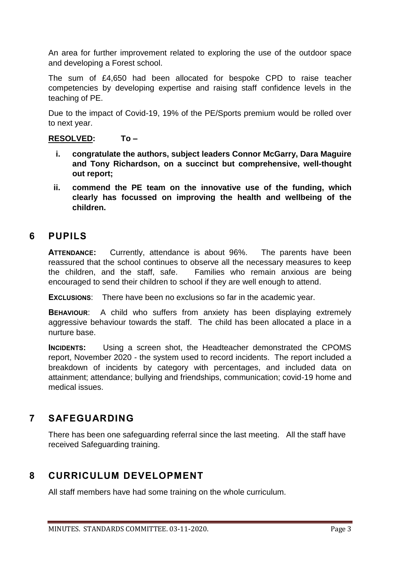An area for further improvement related to exploring the use of the outdoor space and developing a Forest school.

The sum of £4,650 had been allocated for bespoke CPD to raise teacher competencies by developing expertise and raising staff confidence levels in the teaching of PE.

Due to the impact of Covid-19, 19% of the PE/Sports premium would be rolled over to next year.

#### **RESOLVED: To –**

- **i. congratulate the authors, subject leaders Connor McGarry, Dara Maguire and Tony Richardson, on a succinct but comprehensive, well-thought out report;**
- **ii. commend the PE team on the innovative use of the funding, which clearly has focussed on improving the health and wellbeing of the children.**

### **6 PUPILS**

**ATTENDANCE:** Currently, attendance is about 96%. The parents have been reassured that the school continues to observe all the necessary measures to keep the children, and the staff, safe. Families who remain anxious are being encouraged to send their children to school if they are well enough to attend.

**EXCLUSIONS**: There have been no exclusions so far in the academic year.

**BEHAVIOUR**: A child who suffers from anxiety has been displaying extremely aggressive behaviour towards the staff. The child has been allocated a place in a nurture base.

**INCIDENTS:** Using a screen shot, the Headteacher demonstrated the CPOMS report, November 2020 - the system used to record incidents. The report included a breakdown of incidents by category with percentages, and included data on attainment; attendance; bullying and friendships, communication; covid-19 home and medical issues.

## **7 SAFEGUARDING**

There has been one safeguarding referral since the last meeting. All the staff have received Safeguarding training.

### **8 CURRICULUM DEVELOPMENT**

All staff members have had some training on the whole curriculum.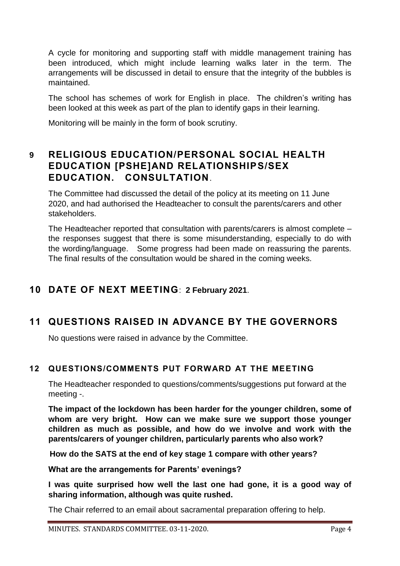A cycle for monitoring and supporting staff with middle management training has been introduced, which might include learning walks later in the term. The arrangements will be discussed in detail to ensure that the integrity of the bubbles is maintained.

The school has schemes of work for English in place. The children's writing has been looked at this week as part of the plan to identify gaps in their learning.

Monitoring will be mainly in the form of book scrutiny.

## **9 RELIGIOUS EDUCATION/PERSONAL SOCIAL HEALTH EDUCATION [PSHE]AND RELATIONSHIPS/SEX EDUCATION. CONSULTATION**.

The Committee had discussed the detail of the policy at its meeting on 11 June 2020, and had authorised the Headteacher to consult the parents/carers and other stakeholders.

The Headteacher reported that consultation with parents/carers is almost complete – the responses suggest that there is some misunderstanding, especially to do with the wording/language. Some progress had been made on reassuring the parents. The final results of the consultation would be shared in the coming weeks.

## **10 DATE OF NEXT MEETING**: **2 February 2021**.

# **11 QUESTIONS RAISED IN ADVANCE BY THE GOVERNORS**

No questions were raised in advance by the Committee.

### **12 QUESTIONS/COMMENTS PUT FORWARD AT THE MEETING**

The Headteacher responded to questions/comments/suggestions put forward at the meeting -.

**The impact of the lockdown has been harder for the younger children, some of whom are very bright. How can we make sure we support those younger children as much as possible, and how do we involve and work with the parents/carers of younger children, particularly parents who also work?**

**How do the SATS at the end of key stage 1 compare with other years?**

**What are the arrangements for Parents' evenings?**

**I was quite surprised how well the last one had gone, it is a good way of sharing information, although was quite rushed.** 

The Chair referred to an email about sacramental preparation offering to help.